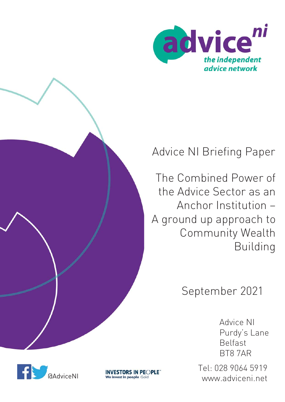



# Advice NI Briefing Paper

The Combined Power of the Advice Sector as an Anchor Institution – A ground up approach to Community Wealth Building

# September 2021

Advice NI Purdy's Lane Belfast BT8 7AR

Tel: 028 9064 5919 **INVESTORS IN PEOPLE**<br>We invest in people Gold<br>WWW.adviceni.net

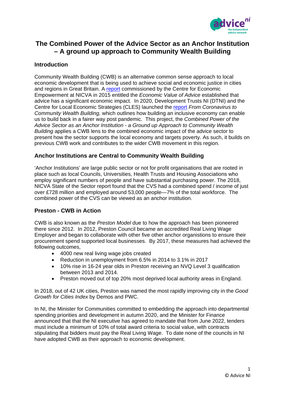

# **The Combined Power of the Advice Sector as an Anchor Institution – A ground up approach to Community Wealth Building**

# **Introduction**

Community Wealth Building (CWB) is an alternative common sense approach to local economic development that is being used to achieve social and economic justice in cities and regions in Great Britain. A [report](https://www.nicva.org/resource/the-economic-value-of-advice) commissioned by the Centre for Economic Empowerment at NICVA in 2015 entitled the *Economic Value of Advice* established that advice has a significant economic impact. In 2020, Development Trusts NI (DTNI) and the Centre for Local Economic Strategies (CLES) launched the [report](https://cles.org.uk/blog/from-coronavirus-to-community-wealth-building-back-better-in-northern-ireland/) *From Coronavirus to Community Wealth Building,* which outlines how building an inclusive economy can enable us to build back in a fairer way post pandemic. This project, the *Combined Power of the Advice Sector as an Anchor Institution - a Ground up Approach to Community Wealth Building* applies a CWB lens to the combined economic impact of the advice sector to present how the sector supports the local economy and targets poverty. As such, it builds on previous CWB work and contributes to the wider CWB movement in this region.

## **Anchor Institutions are Central to Community Wealth Building**

'Anchor Institutions' are large public sector or not for profit organisations that are rooted in place such as local Councils, Universities, Health Trusts and Housing Associations who employ significant numbers of people and have substantial purchasing power. The 2018, NICVA State of the Sector report found that the CVS had a combined spend / income of just over £728 million and employed around 53,000 people—7% of the total workforce. The combined power of the CVS can be viewed as an anchor institution.

### **Preston - CWB in Action**

CWB is also known as the *Preston Model* due to how the approach has been pioneered there since 2012. In 2012, Preston Council became an accredited Real Living Wage Employer and began to collaborate with other five other anchor organistions to ensure their procurement spend supported local businesses. By 2017, these measures had achieved the following outcomes,

- 4000 new real living wage jobs created
- Reduction in unemployment from 6.5% in 2014 to 3.1% in 2017
- 10% rise in 16-24 year olds in Preston receiving an NVQ Level 3 qualification between 2013 and 2014.
- Preston moved out of top 20% most deprived local authority areas in England.

In 2018, out of 42 UK cities, Preston was named the most rapidly improving city in the *Good Growth for Cities Index* by Demos and PWC.

In NI, the Minister for Communities committed to embedding the approach into departmental spending priorities and development in autumn 2020, and the Minister for Finance announced that that the NI executive has agreed to mandate that from June 2022, tenders must include a minimum of 10% of total award criteria to social value, with contracts stipulating that bidders must pay the Real Living Wage. To date none of the councils in NI have adopted CWB as their approach to economic development.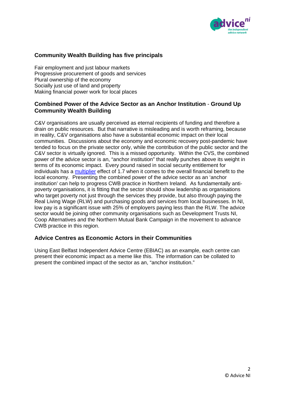

# **Community Wealth Building has five principals**

Fair employment and just labour markets Progressive procurement of goods and services Plural ownership of the economy Socially just use of land and property Making financial power work for local places

# **Combined Power of the Advice Sector as an Anchor Institution** - **Ground Up Community Wealth Building**

C&V organisations are usually perceived as eternal recipients of funding and therefore a drain on public resources. But that narrative is misleading and is worth reframing, because in reality, C&V organisations also have a substantial economic impact on their local communities. Discussions about the economy and economic recovery post-pandemic have tended to focus on the private sector only, while the contribution of the public sector and the C&V sector is virtually ignored. This is a missed opportunity. Within the CVS, the combined power of the advice sector is an, "anchor institution" that really punches above its weight in terms of its economic impact. Every pound raised in social security entitlement for individuals has a [multiplier](https://blogs.lse.ac.uk/politicsandpolicy/four-reasons-why-welfare-reform-is-a-delusion/) effect of 1.7 when it comes to the overall financial benefit to the local economy. Presenting the combined power of the advice sector as an 'anchor institution' can help to progress CWB practice in Northern Ireland. As fundamentally antipoverty organisations, it is fitting that the sector should show leadership as organisations who target poverty not just through the services they provide, but also through paying the Real Living Wage (RLW) and purchasing goods and services from local businesses. In NI, low pay is a significant issue with 25% of employers paying less than the RLW. The advice sector would be joining other community organisations such as Development Trusts NI, Coop Alternatives and the Northern Mutual Bank Campaign in the movement to advance CWB practice in this region.

### **Advice Centres as Economic Actors in their Communities**

Using East Belfast Independent Advice Centre (EBIAC) as an example, each centre can present their economic impact as a meme like this. The information can be collated to present the combined impact of the sector as an, "anchor institution."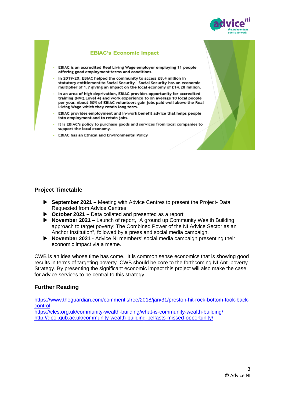

#### **EBIAC's Economic Impact**

- EBIAC is an accredited Real Living Wage employer employing 11 people offering good employment terms and conditions.
- In 2019-20, EBIAC helped the community to access £8.4 million in statutory entitlement to Social Security. Social Security has an economic multiplier of 1.7 giving an impact on the local economy of £14.28 million.
- In an area of high deprivation, EBIAC provides opportunity for accredited training (NVO Level 4) and work experience to on average 10 local people per year. About 50% of EBIAC volunteers gain jobs paid well above the Real Living Wage which they retain long term.
- EBIAC provides employment and in-work benefit advice that helps people into employment and to retain jobs.
- It is EBIAC's policy to purchase goods and services from local companies to support the local economy.
- EBIAC has an Ethical and Environmental Policy

### **Project Timetable**

- **September 2021 –** Meeting with Advice Centres to present the Project- Data Requested from Advice Centres
- **October 2021 –** Data collated and presented as a report
- **November 2021 –** Launch of report, "A ground up Community Wealth Building approach to target poverty: The Combined Power of the NI Advice Sector as an Anchor Institution", followed by a press and social media campaign.
- **November 2021**  Advice NI members' social media campaign presenting their economic impact via a meme.

CWB is an idea whose time has come. It is common sense economics that is showing good results in terms of targeting poverty. CWB should be core to the forthcoming NI Anti-poverty Strategy. By presenting the significant economic impact this project will also make the case for advice services to be central to this strategy.

### **Further Reading**

[https://www.theguardian.com/commentisfree/2018/jan/31/preston-hit-rock-bottom-took-back](https://www.theguardian.com/commentisfree/2018/jan/31/preston-hit-rock-bottom-took-back-control)[control](https://www.theguardian.com/commentisfree/2018/jan/31/preston-hit-rock-bottom-took-back-control) <https://cles.org.uk/community-wealth-building/what-is-community-wealth-building/>

<http://qpol.qub.ac.uk/community-wealth-building-belfasts-missed-opportunity/>